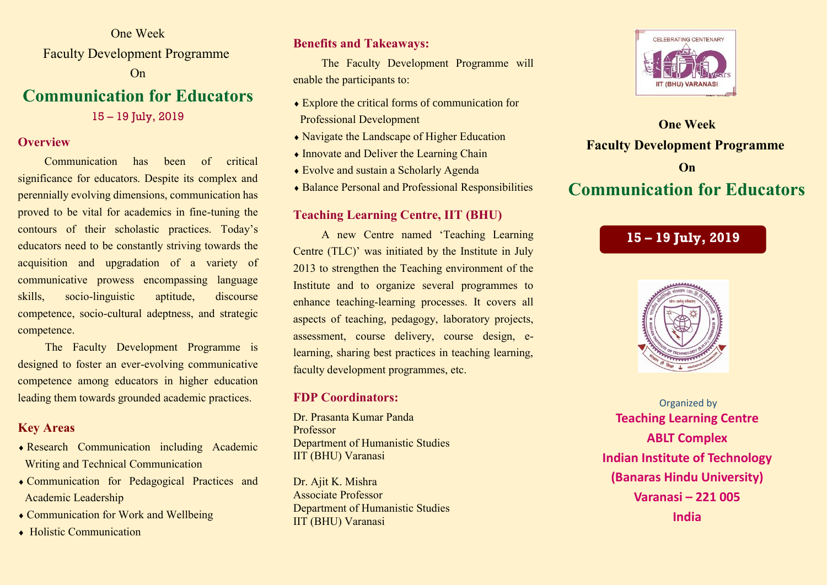One Week Faculty Development Programme On

# **Communication for Educators**

15 – 19 July, 2019

## **Overview**

 Communication has been of critical significance for educators. Despite its complex and perennially evolving dimensions, communication has proved to be vital for academics in fine-tuning the contours of their scholastic practices. Today's educators need to be constantly striving towards the acquisition and upgradation of a variety of communicative prowess encompassing language skills, socio-linguistic aptitude, discourse competence, socio-cultural adeptness, and strategic competence.

 The Faculty Development Programme is designed to foster an ever-evolving communicative competence among educators in higher education leading them towards grounded academic practices.

## **Key Areas**

- Research Communication including Academic Writing and Technical Communication
- Communication for Pedagogical Practices and Academic Leadership
- Communication for Work and Wellbeing
- ◆ Holistic Communication

## **Benefits and Takeaways:**

 The Faculty Development Programme will enable the participants to:

- Explore the critical forms of communication for Professional Development
- Navigate the Landscape of Higher Education
- Innovate and Deliver the Learning Chain
- Evolve and sustain a Scholarly Agenda
- Balance Personal and Professional Responsibilities

## **Teaching Learning Centre, IIT (BHU)**

 A new Centre named 'Teaching Learning Centre (TLC)' was initiated by the Institute in July 2013 to strengthen the Teaching environment of the Institute and to organize several programmes to enhance teaching-learning processes. It covers all aspects of teaching, pedagogy, laboratory projects, assessment, course delivery, course design, elearning, sharing best practices in teaching learning, faculty development programmes, etc.

## **FDP Coordinators:**

Dr. Prasanta Kumar Panda Professor Department of Humanistic Studies IIT (BHU) Varanasi

Dr. Ajit K. Mishra Associate Professor Department of Humanistic Studies IIT (BHU) Varanasi



**One Week Faculty Development Programme On Communication for Educators**

# **15 – 19 July, 2019**



Organized by **Teaching Learning Centre ABLT Complex Indian Institute of Technology (Banaras Hindu University) Varanasi – 221 005 India**